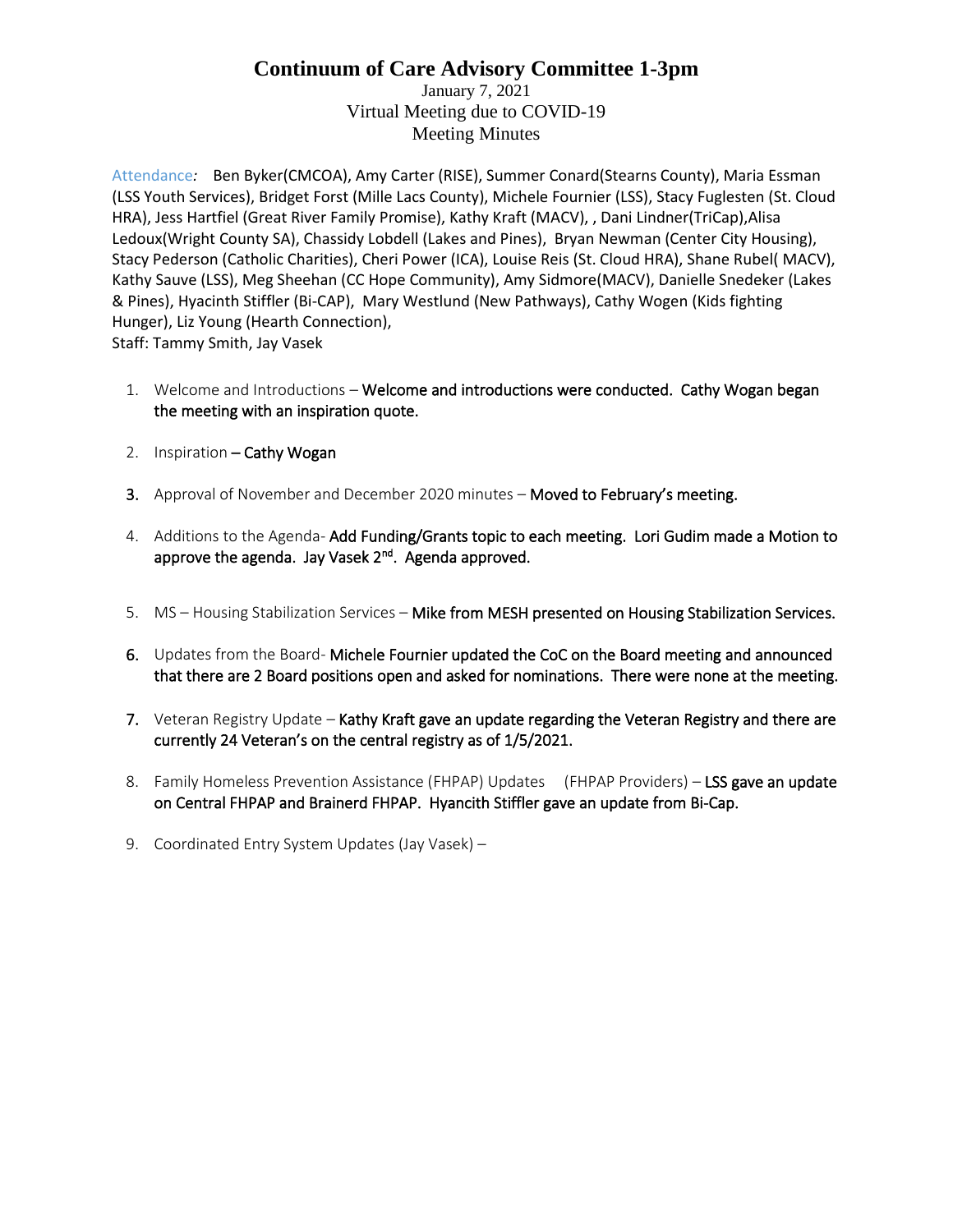January 7, 2021 Virtual Meeting due to COVID-19 Meeting Minutes

Attendance*:* Ben Byker(CMCOA), Amy Carter (RISE), Summer Conard(Stearns County), Maria Essman (LSS Youth Services), Bridget Forst (Mille Lacs County), Michele Fournier (LSS), Stacy Fuglesten (St. Cloud HRA), Jess Hartfiel (Great River Family Promise), Kathy Kraft (MACV), , Dani Lindner(TriCap),Alisa Ledoux(Wright County SA), Chassidy Lobdell (Lakes and Pines), Bryan Newman (Center City Housing), Stacy Pederson (Catholic Charities), Cheri Power (ICA), Louise Reis (St. Cloud HRA), Shane Rubel( MACV), Kathy Sauve (LSS), Meg Sheehan (CC Hope Community), Amy Sidmore(MACV), Danielle Snedeker (Lakes & Pines), Hyacinth Stiffler (Bi-CAP), Mary Westlund (New Pathways), Cathy Wogen (Kids fighting Hunger), Liz Young (Hearth Connection), Staff: Tammy Smith, Jay Vasek

- 1. Welcome and Introductions Welcome and introductions were conducted. Cathy Wogan began the meeting with an inspiration quote.
- 2. Inspiration Cathy Wogan
- 3. Approval of November and December 2020 minutes Moved to February's meeting.
- 4. Additions to the Agenda- Add Funding/Grants topic to each meeting. Lori Gudim made a Motion to approve the agenda. Jay Vasek 2<sup>nd</sup>. Agenda approved.
- 5. MS Housing Stabilization Services Mike from MESH presented on Housing Stabilization Services.
- 6. Updates from the Board- Michele Fournier updated the CoC on the Board meeting and announced that there are 2 Board positions open and asked for nominations. There were none at the meeting.
- 7. Veteran Registry Update Kathy Kraft gave an update regarding the Veteran Registry and there are currently 24 Veteran's on the central registry as of 1/5/2021.
- 8. Family Homeless Prevention Assistance (FHPAP) Updates (FHPAP Providers) LSS gave an update on Central FHPAP and Brainerd FHPAP. Hyancith Stiffler gave an update from Bi-Cap.
- 9. Coordinated Entry System Updates (Jay Vasek) –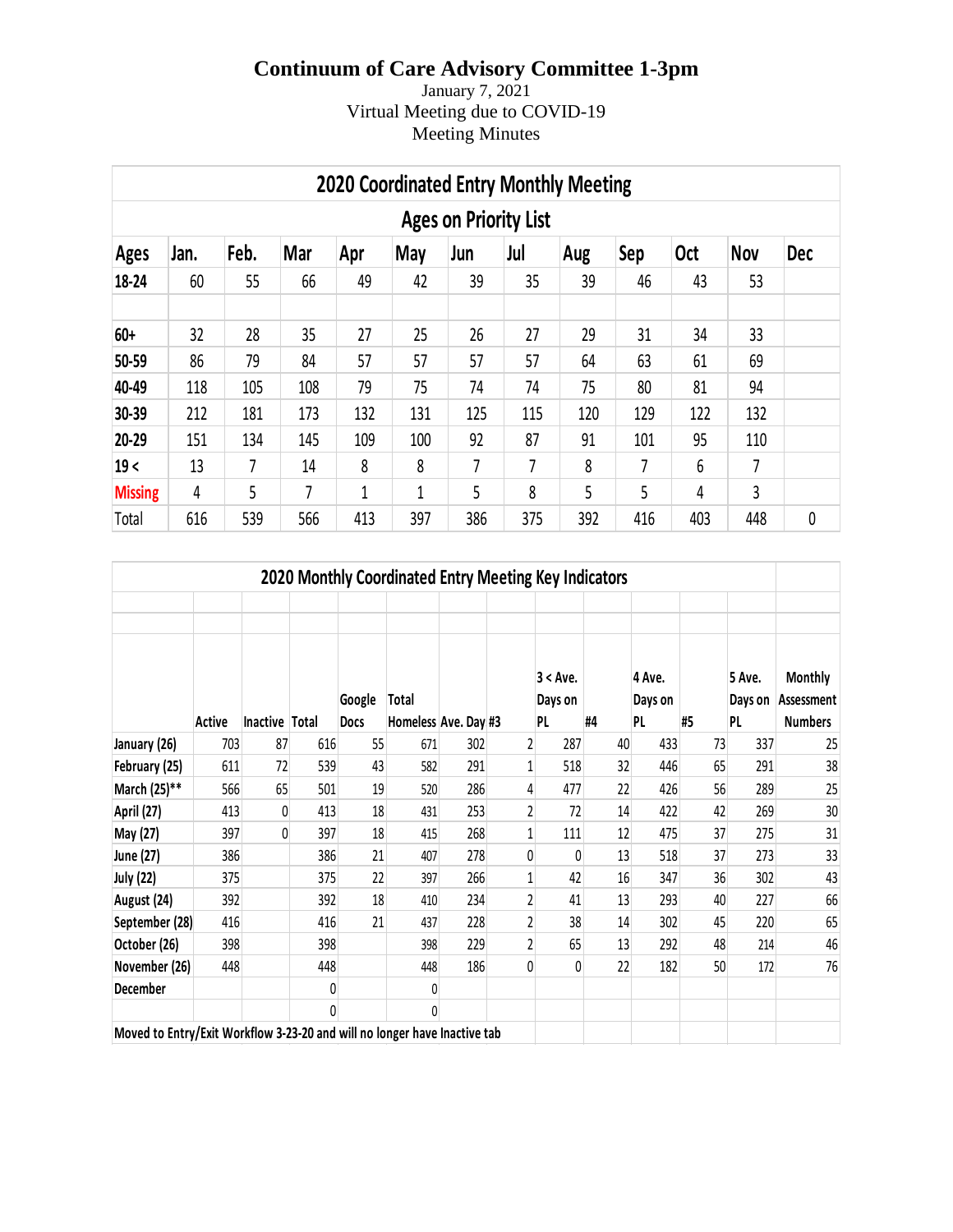January 7, 2021 Virtual Meeting due to COVID-19 Meeting Minutes

|                              | <b>2020 Coordinated Entry Monthly Meeting</b> |      |     |     |     |     |     |     |     |            |            |            |  |  |
|------------------------------|-----------------------------------------------|------|-----|-----|-----|-----|-----|-----|-----|------------|------------|------------|--|--|
| <b>Ages on Priority List</b> |                                               |      |     |     |     |     |     |     |     |            |            |            |  |  |
| <b>Ages</b>                  | Jan.                                          | Feb. | Mar | Apr | May | Jun | Jul | Aug | Sep | <b>Oct</b> | <b>Nov</b> | <b>Dec</b> |  |  |
| 18-24                        | 60                                            | 55   | 66  | 49  | 42  | 39  | 35  | 39  | 46  | 43         | 53         |            |  |  |
| 60+                          | 32                                            | 28   | 35  | 27  | 25  | 26  | 27  | 29  | 31  | 34         | 33         |            |  |  |
| 50-59                        | 86                                            | 79   | 84  | 57  | 57  | 57  | 57  | 64  | 63  | 61         | 69         |            |  |  |
| 40-49                        | 118                                           | 105  | 108 | 79  | 75  | 74  | 74  | 75  | 80  | 81         | 94         |            |  |  |
| 30-39                        | 212                                           | 181  | 173 | 132 | 131 | 125 | 115 | 120 | 129 | 122        | 132        |            |  |  |
| 20-29                        | 151                                           | 134  | 145 | 109 | 100 | 92  | 87  | 91  | 101 | 95         | 110        |            |  |  |
| 19<                          | 13                                            | 7    | 14  | 8   | 8   | 7   | 7   | 8   | 7   | 6          | 7          |            |  |  |
| <b>Missing</b>               | 4                                             | 5    | 7   | 1   | 1   | 5   | 8   | 5   | 5   | 4          | 3          |            |  |  |
| Total                        | 616                                           | 539  | 566 | 413 | 397 | 386 | 375 | 392 | 416 | 403        | 448        | 0          |  |  |

| 2020 Monthly Coordinated Entry Meeting Key Indicators                     |        |                |     |             |                      |     |                |             |    |         |    |         |                |
|---------------------------------------------------------------------------|--------|----------------|-----|-------------|----------------------|-----|----------------|-------------|----|---------|----|---------|----------------|
|                                                                           |        |                |     |             |                      |     |                |             |    |         |    |         |                |
|                                                                           |        |                |     |             |                      |     |                |             |    |         |    |         |                |
|                                                                           |        |                |     |             |                      |     |                | $3 < A$ ve. |    | 4 Ave.  |    | 5 Ave.  | <b>Monthly</b> |
|                                                                           |        |                |     | Google      | Total                |     |                | Days on     |    | Days on |    | Days on | Assessment     |
|                                                                           | Active | Inactive Total |     | <b>Docs</b> | Homeless Ave. Day #3 |     |                | PL          | #4 | PL      | #5 | PL      | <b>Numbers</b> |
| January (26)                                                              | 703    | 87             | 616 | 55          | 671                  | 302 | $\overline{2}$ | 287         | 40 | 433     | 73 | 337     | 25             |
| February (25)                                                             | 611    | 72             | 539 | 43          | 582                  | 291 | 1              | 518         | 32 | 446     | 65 | 291     | 38             |
| March (25)**                                                              | 566    | 65             | 501 | 19          | 520                  | 286 | 4              | 477         | 22 | 426     | 56 | 289     | 25             |
| April (27)                                                                | 413    | 0              | 413 | 18          | 431                  | 253 | 2              | 72          | 14 | 422     | 42 | 269     | 30             |
| May (27)                                                                  | 397    | $\Omega$       | 397 | 18          | 415                  | 268 | 1              | 111         | 12 | 475     | 37 | 275     | 31             |
| June (27)                                                                 | 386    |                | 386 | 21          | 407                  | 278 | 0              | 0           | 13 | 518     | 37 | 273     | 33             |
| <b>July (22)</b>                                                          | 375    |                | 375 | 22          | 397                  | 266 |                | 42          | 16 | 347     | 36 | 302     | 43             |
| August (24)                                                               | 392    |                | 392 | 18          | 410                  | 234 | 2              | 41          | 13 | 293     | 40 | 227     | 66             |
| September (28)                                                            | 416    |                | 416 | 21          | 437                  | 228 | 2              | 38          | 14 | 302     | 45 | 220     | 65             |
| October (26)                                                              | 398    |                | 398 |             | 398                  | 229 | $\overline{c}$ | 65          | 13 | 292     | 48 | 214     | 46             |
| November (26)                                                             | 448    |                | 448 |             | 448                  | 186 | 0              | 0           | 22 | 182     | 50 | 172     | 76             |
| December                                                                  |        |                | 0   |             | 0                    |     |                |             |    |         |    |         |                |
|                                                                           |        |                | 0   |             | 0                    |     |                |             |    |         |    |         |                |
| Moved to Entry/Exit Workflow 3-23-20 and will no longer have Inactive tab |        |                |     |             |                      |     |                |             |    |         |    |         |                |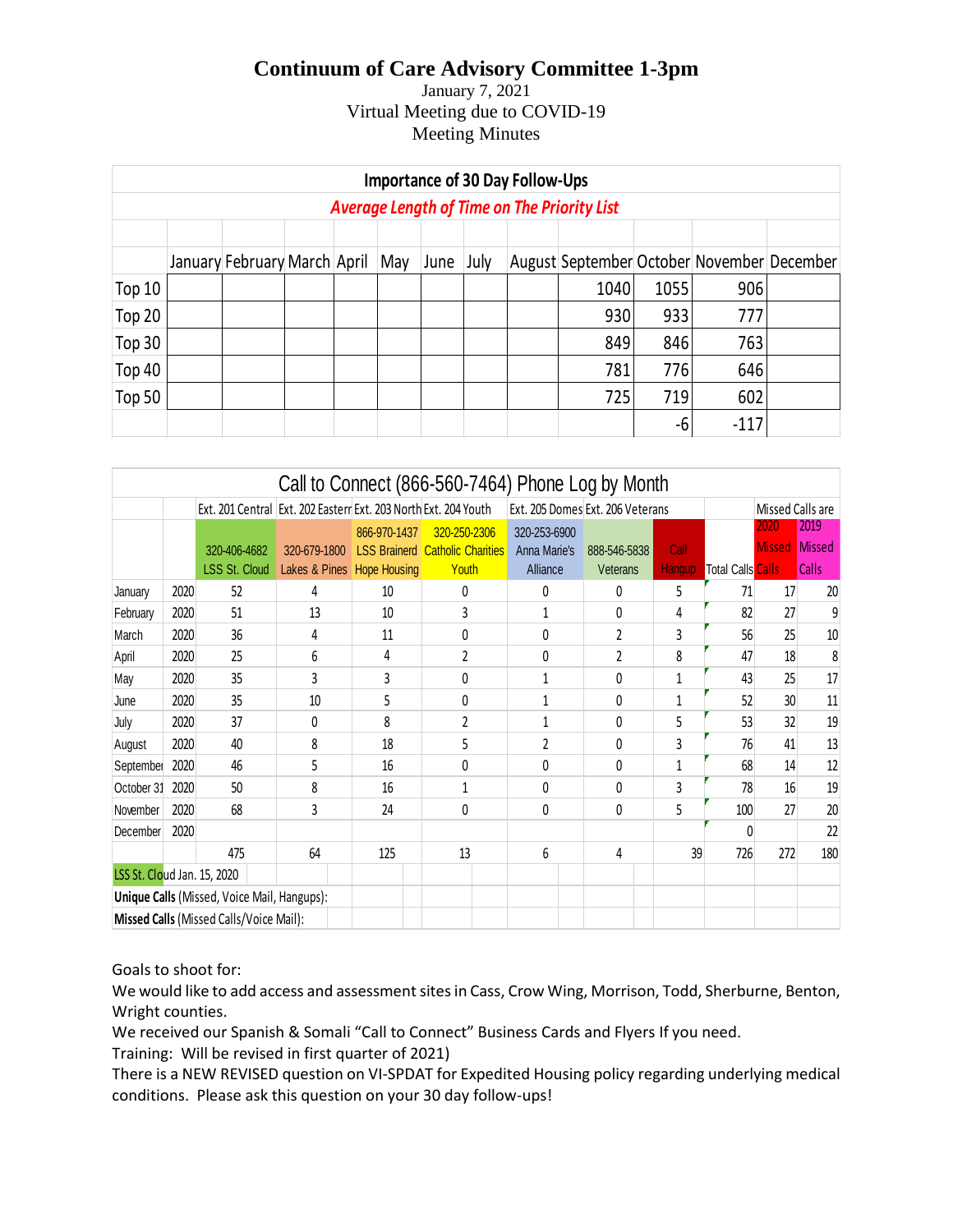#### January 7, 2021 Virtual Meeting due to COVID-19 Meeting Minutes

| <b>Importance of 30 Day Follow-Ups</b>             |  |                              |  |  |     |      |      |  |                                            |      |        |  |
|----------------------------------------------------|--|------------------------------|--|--|-----|------|------|--|--------------------------------------------|------|--------|--|
| <b>Average Length of Time on The Priority List</b> |  |                              |  |  |     |      |      |  |                                            |      |        |  |
|                                                    |  |                              |  |  |     |      |      |  |                                            |      |        |  |
|                                                    |  | January February March April |  |  | May | June | July |  | August September October November December |      |        |  |
| Top 10                                             |  |                              |  |  |     |      |      |  | 1040                                       | 1055 | 906    |  |
| Top 20                                             |  |                              |  |  |     |      |      |  | 930                                        | 933  | 777    |  |
| Top 30                                             |  |                              |  |  |     |      |      |  | 849                                        | 846  | 763    |  |
| Top 40                                             |  |                              |  |  |     |      |      |  | 781                                        | 776  | 646    |  |
| Top 50                                             |  |                              |  |  |     |      |      |  | 725                                        | 719  | 602    |  |
|                                                    |  |                              |  |  |     |      |      |  |                                            | -6   | $-117$ |  |

|                             |      |                                                                   |                                 |                                                                        | Call to Connect (866-560-7464) Phone Log by Month |                                              |                |                    |                                |                       |                |
|-----------------------------|------|-------------------------------------------------------------------|---------------------------------|------------------------------------------------------------------------|---------------------------------------------------|----------------------------------------------|----------------|--------------------|--------------------------------|-----------------------|----------------|
|                             |      | Ext. 201 Central   Ext. 202 Easterr Ext. 203 North Ext. 204 Youth |                                 |                                                                        |                                                   | Ext. 205 Domes Ext. 206 Veterans             |                |                    |                                | Missed Calls are      |                |
|                             |      | 320-406-4682                                                      | 320-679-1800                    | 866-970-1437<br>320-250-2306<br><b>LSS Brainerd Catholic Charities</b> |                                                   | 320-253-6900<br>Anna Marie's<br>888-546-5838 |                | Call               |                                | 2020<br><b>Missed</b> | 2019<br>Missed |
| January                     | 2020 | <b>LSS St. Cloud</b><br>52                                        | Lakes & Pines Hope Housing<br>4 | 10                                                                     | Youth<br>0                                        | Alliance<br>0                                | Veterans<br>0  | <b>Hangup</b><br>5 | <b>Total Calls Calls</b><br>71 | 17                    | Calls<br>20    |
| February                    | 2020 | 51                                                                | 13                              | 10                                                                     | 3                                                 | 1                                            | 0              | 4                  | 82                             | 27                    | 9              |
| March                       | 2020 | 36                                                                | 4                               | 11                                                                     | 0                                                 | $\Omega$                                     | $\overline{2}$ | 3                  | 56                             | 25                    | 10             |
| April                       | 2020 | 25                                                                | 6                               | 4                                                                      | $\overline{2}$                                    | $\mathbf{0}$                                 | 2              | 8                  | 47                             | 18                    | 8              |
| May                         | 2020 | 35                                                                | 3                               | 3                                                                      | 0                                                 | 1                                            | 0              | $\mathbf{1}$       | 43                             | 25                    | 17             |
| June                        | 2020 | 35                                                                | 10                              | 5                                                                      | 0                                                 | 1                                            | 0              | 1                  | 52                             | 30                    | 11             |
| July                        | 2020 | 37                                                                | 0                               | 8                                                                      | 2                                                 | 1                                            | 0              | 5                  | 53                             | 32                    | 19             |
| August                      | 2020 | 40                                                                | 8                               | 18                                                                     | 5                                                 | $\overline{2}$                               | 0              | 3                  | 76                             | 41                    | 13             |
| September                   | 2020 | 46                                                                | 5                               | 16                                                                     | 0                                                 | 0                                            | 0              | $\mathbf{1}$       | 68                             | 14                    | 12             |
| October 31                  | 2020 | 50                                                                | 8                               | 16                                                                     | $\mathbf 1$                                       | 0                                            | 0              | 3                  | 78                             | 16                    | 19             |
| November                    | 2020 | 68                                                                | 3                               | 24                                                                     | 0                                                 | $\mathbf{0}$                                 | 0              | 5                  | 100                            | 27                    | 20             |
| December                    | 2020 |                                                                   |                                 |                                                                        |                                                   |                                              |                |                    | Ŋ                              |                       | 22             |
|                             |      | 475                                                               | 64                              | 125                                                                    | 13                                                | 6                                            | 4              | 39                 | 726                            | 272                   | 180            |
| LSS St. Cloud Jan. 15, 2020 |      |                                                                   |                                 |                                                                        |                                                   |                                              |                |                    |                                |                       |                |
|                             |      | Unique Calls (Missed, Voice Mail, Hangups):                       |                                 |                                                                        |                                                   |                                              |                |                    |                                |                       |                |
|                             |      | Missed Calls (Missed Calls/Voice Mail):                           |                                 |                                                                        |                                                   |                                              |                |                    |                                |                       |                |

Goals to shoot for:

We would like to add access and assessment sites in Cass, Crow Wing, Morrison, Todd, Sherburne, Benton, Wright counties.

We received our Spanish & Somali "Call to Connect" Business Cards and Flyers If you need.

Training: Will be revised in first quarter of 2021)

There is a NEW REVISED question on VI-SPDAT for Expedited Housing policy regarding underlying medical conditions. Please ask this question on your 30 day follow-ups!